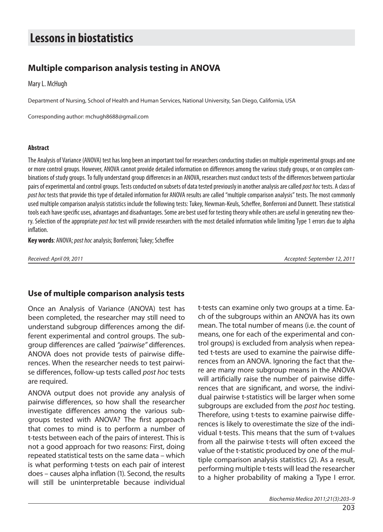# **Species in biostatistics**

# **Multiple comparison analysis testing in ANOVA**

Mary L. McHugh

Department of Nursing, School of Health and Human Services, National University, San Diego, California, USA

Corresponding author: mchugh8688@gmail.com

#### **Ab stra ct**

The Analysis of Variance (ANOVA) test has long been an important tool for researchers conducting studies on multiple experimental groups and one or more control groups. However, ANOVA cannot provide detailed information on differences among the various study groups, or on complex combinations of study groups. To fully understand group differences in an ANOVA, researchers must conduct tests of the differences between particular pairs of experimental and control groups. Tests conducted on subsets of data tested previously in another analysis are called post hoc tests. A class of post hoc tests that provide this type of detailed information for ANOVA results are called "multiple comparison analysis" tests. The most commonly used multiple comparison analysis statistics include the following tests: Tukey, Newman-Keuls, Scheffee, Bonferroni and Dunnett. These statistical tools each have specific uses, advantages and disadvantages. Some are best used for testing theory while others are useful in generating new theory. Selection of the appropriate post hoc test will provide researchers with the most detailed information while limiting Type 1 errors due to alpha inflation.

**Key words:** ANOVA; post hoc analysis; Bonferroni; Tukey; Scheffee

Re cei ved: April 09, 2011 Ac cep ted: Septem ber 12, 2011

# **Use of multiple comparison analysis tests**

Once an Analysis of Variance (ANOVA) test has been completed, the researcher may still need to understand subgroup differences among the different experimental and control groups. The subgroup differences are called "pairwise" differences. ANOVA does not provide tests of pairwise differences. When the researcher needs to test pairwise differences, follow-up tests called post hoc tests are required.

ANOVA output does not provide any analysis of pairwise differences, so how shall the researcher investigate differences among the various subgroups tested with ANOVA? The first approach that comes to mind is to perform a number of t-tests between each of the pairs of interest. This is not a good approach for two reasons: First, doing repeated statistical tests on the same data – which is what performing t-tests on each pair of interest does – causes alpha inflation (1). Second, the results will still be uninterpretable because individual

t-tests can examine only two groups at a time. Each of the subgroups within an ANOVA has its own mean. The total number of means (i.e. the count of means, one for each of the experimental and control groups) is excluded from analysis when repeated t-tests are used to examine the pairwise differences from an ANOVA. Ignoring the fact that there are many more subgroup means in the ANOVA will artificially raise the number of pairwise differences that are significant, and worse, the individual pairwise t-statistics will be larger when some subgroups are excluded from the post hoc testing. Therefore, using t-tests to examine pairwise differences is likely to overestimate the size of the individual t-tests. This means that the sum of t-values from all the pairwise t-tests will often exceed the value of the t-statistic produced by one of the multiple comparison analysis statistics (2). As a result, performing multiple t-tests will lead the researcher to a higher probability of making a Type I error.

Biochemia Medica 2011;21(3):203–9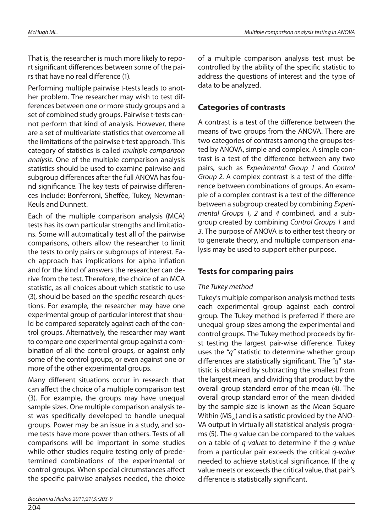That is, the researcher is much more likely to report significant differences between some of the pairs that have no real difference (1).

Performing multiple pairwise t-tests leads to another problem. The researcher may wish to test differences between one or more study groups and a set of combined study groups. Pairwise t-tests cannot perform that kind of analysis. However, there are a set of multivariate statistics that over come all the limitations of the pairwise t-test approach. This category of statistics is called multiple comparison analysis. One of the multiple comparison analysis statistics should be used to examine pairwise and subgroup differences after the full ANOVA has found significance. The key tests of pairwise differences include: Bonferroni, Sheffèe, Tukey, Newman-Keuls and Dunnett.

Each of the multiple comparison analysis (MCA) tests has its own particular strengths and limitations. Some will automatically test all of the pairwise comparisons, others allow the researcher to limit the tests to only pairs or subgroups of interest. Each approach has implications for alpha inflation and for the kind of answers the researcher can derive from the test. Therefore, the choice of an MCA statistic, as all choices about which statistic to use (3), should be based on the specific research questions. For example, the researcher may have one experimental group of particular interest that should be compared separately against each of the control groups. Alternatively, the researcher may want to compare one experimental group against a combination of all the control groups, or against only some of the control groups, or even against one or more of the other experimental groups.

Many different situations occur in research that can affect the choice of a multiple comparison test (3). For example, the groups may have unequal sample sizes. One multiple comparison analysis test was specifically developed to handle unequal groups. Power may be an issue in a study, and some tests have more power than others. Tests of all comparisons will be important in some studies while other studies require testing only of predetermined combinations of the experimental or control groups. When special circumstances affect the specific pairwise analyses needed, the choice

204

of a multiple comparison analysis test must be controlled by the ability of the specific statistic to address the questions of interest and the type of data to be analyzed.

## **Categories of contrasts**

A contrast is a test of the difference between the means of two groups from the ANOVA. There are two categories of contrasts among the groups tested by ANOVA, simple and complex. A simple contrast is a test of the difference between any two pairs, such as Experimental Group 1 and Control Group 2. A complex contrast is a test of the difference between combinations of groups. An example of a complex contrast is a test of the difference between a subgroup created by combining Experimental Groups 1, 2 and 4 combined, and a subgroup created by combining Control Groups 1 and 3. The purpose of ANOVA is to either test theory or to generate theory, and multiple comparison analysis may be used to support either purpose.

## **Tests for comparing pairs**

#### The Tukey method

Tukey's multiple comparison analysis method tests each experimental group against each control group. The Tukey method is preferred if there are unequal group sizes among the experimental and control groups. The Tukey method proceeds by first testing the largest pair-wise difference. Tukey uses the " $q$ " statistic to determine whether group differences are statistically significant. The " $q$ " statistic is obtained by subtracting the smallest from the largest mean, and dividing that product by the overall group standard error of the mean (4). The overall group standard error of the mean divided by the sample size is known as the Mean Square Within ( $MS_{w}$ ) and is a satistic provided by the ANO-VA output in virtually all statistical analysis programs (5). The  $q$  value can be compared to the values on a table of q-values to determine if the q-value from a particular pair exceeds the critical  $q$ -value nee ded to achieve statistical significance. If the  $q$ value meets or exceeds the critical value, that pair's difference is statistically significant.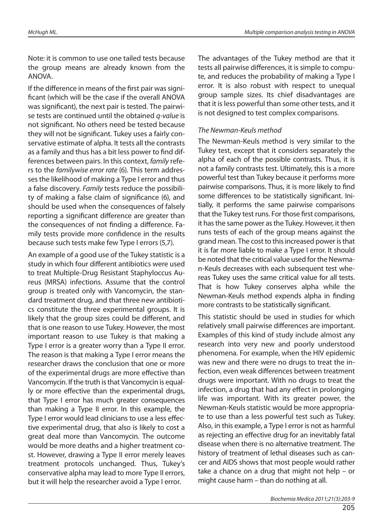Note: it is common to use one tailed tests because the group means are already known from the ANOVA.

If the difference in means of the first pair was significant (which will be the case if the overall ANOVA was significant), the next pair is tested. The pairwise tests are continued until the obtained  $q$ -value is not significant. No others need be tested because they will not be significant. Tukey uses a fairly conservative estimate of alpha. It tests all the contrasts as a family and thus has a bit less power to find differences between pairs. In this context, family refers to the familywise error rate (6). This term addresses the likelihood of making a Type I error and thus a false discovery. Family tests reduce the possibility of making a false claim of significance (6), and should be used when the consequences of falsely reporting a significant difference are greater than the consequences of not finding a difference. Family tests provide more confidence in the results because such tests make few Type I errors (5,7).

An example of a good use of the Tukey statistic is a study in which four different antibiotics were used to treat Multiple-Drug Resistant Staphyloccus Aureus (MRSA) infections. Assume that the control group is treated only with Vancomycin, the standard treatment drug, and that three new antibiotics constitute the three experimental groups. It is likely that the group sizes could be different, and that is one reason to use Tukey. However, the most important reason to use Tukey is that making a Type I error is a greater worry than a Type II error. The reason is that making a Type I error means the researcher draws the conclusion that one or more of the experimental drugs are more effective than Van comycin. If the truth is that Van comycin is equally or more effective than the experimental drugs, that Type I error has much greater consequences than making a Type II error. In this example, the Type I error would lead clinicians to use a less effective experimental drug, that also is likely to cost a great deal more than Vancomycin. The outcome would be more deaths and a higher treatment cost. However, drawing a Type II error merely leaves treatment protocols unchanged. Thus, Tukey's conservative alpha may lead to more Type II errors, but it will help the researcher avoid a Type I error.

The advantages of the Tukey method are that it tests all pairwise differences, it is simple to compute, and reduces the probability of making a Type I error. It is also robust with respect to unequal group sample sizes. Its chief disadvantages are that it is less powerful than some other tests, and it is not designed to test complex comparisons.

#### The Newman-Keuls method

The Newman-Keuls method is very similar to the Tukey test, except that it considers separately the alpha of each of the possible contrasts. Thus, it is not a family contrasts test. Ultimately, this is a more powerful test than Tukey because it performs more pairwise comparisons. Thus, it is more likely to find some differences to be statistically significant. Initially, it performs the same pairwise comparisons that the Tukey test runs. For those first comparisons, it has the same power as the Tukey. However, it then runs tests of each of the group means against the grand mean. The cost to this increased power is that it is far more liable to make a Type I error. It should be noted that the critical value used for the Newman-Keuls decreases with each subsequent test whereas Tukey uses the same critical value for all tests. That is how Tukey conserves alpha while the Newman-Keuls method expends alpha in finding more contrasts to be statistically significant.

This statistic should be used in studies for which relatively small pairwise differences are important. Examples of this kind of study include almost any research into very new and poorly understood phenomena. For example, when the HIV epidemic was new and there were no drugs to treat the infection, even weak differences between treatment drugs were important. With no drugs to treat the infection, a drug that had any effect in prolonging life was important. With its greater power, the Newman-Keuls statistic would be more appropriate to use than a less powerful test such as Tukey. Also, in this example, a Type I error is not as harmful as rejecting an effective drug for an inevitably fatal disease when there is no alternative treatment. The history of treatment of lethal diseases such as cancer and AIDS shows that most people would rather take a chance on a drug that might not help – or might cause harm  $-$  than do nothing at all.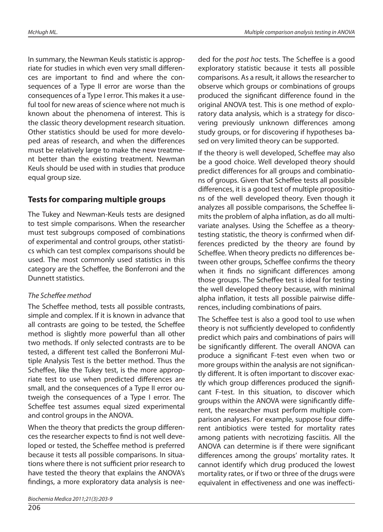In summary, the Newman Keuls statistic is appropriate for studies in which even very small differences are important to find and where the consequences of a Type II error are worse than the consequences of a Type I error. This makes it a useful tool for new areas of science where not much is known about the phenomena of interest. This is the classic theory development research situation. Other statistics should be used for more developed areas of research, and when the differences must be relatively large to make the new treatment better than the existing treatment. Newman Keuls should be used with in studies that produce equal group size.

## **Tests for comparing multiple groups**

The Tukey and Newman-Keuls tests are designed to test simple comparisons. When the researcher must test subgroups composed of combinations of experimental and control groups, other statistics which can test complex comparisons should be used. The most commonly used statistics in this category are the Scheffee, the Bonferroni and the Dunnett statistics.

#### The Scheffee method

The Scheffee method, tests all possible contrasts, simple and complex. If it is known in advance that all contrasts are going to be tested, the Scheffee method is slightly more powerful than all other two methods. If only selected contrasts are to be tested, a different test called the Bonferroni Multiple Analysis Test is the better method. Thus the Scheffee, like the Tukey test, is the more appropriate test to use when predicted differences are small, and the consequences of a Type II error outweigh the consequences of a Type I error. The Scheffee test assumes equal sized experimental and control groups in the ANOVA.

When the theory that predicts the group differences the researcher expects to find is not well developed or tested, the Scheffee method is preferred because it tests all possible comparisons. In situations where there is not sufficient prior research to have tested the theory that explains the ANOVA's findings, a more exploratory data analysis is needed for the post hoc tests. The Scheffee is a good exploratory statistic because it tests all possible comparisons. As a result, it allows the researcher to observe which groups or combinations of groups produced the significant difference found in the original ANOVA test. This is one method of exploratory data analysis, which is a strategy for discovering previously unknown differences among study groups, or for discovering if hypotheses based on very limited theory can be supported.

If the theory is well developed, Scheffee may also be a good choice. Well developed theory should predict differences for all groups and combinations of groups. Given that Scheffee tests all possible differences, it is a good test of multiple propositions of the well developed theory. Even though it analyzes all possible comparisons, the Scheffee limits the problem of alpha inflation, as do all multivariate analyses. Using the Scheffee as a theorytesting statistic, the theory is confirmed when differences predicted by the theory are found by Scheffee. When theory predicts no differences between other groups, Scheffee confirms the theory when it finds no significant differences among those groups. The Scheffee test is ideal for testing the well developed theory because, with minimal alpha inflation, it tests all possible pairwise differences, including combinations of pairs.

The Scheffee test is also a good tool to use when theory is not sufficiently developed to confidently predict which pairs and combinations of pairs will be significantly different. The overall ANOVA can produce a significant F-test even when two or more groups within the analysis are not significantly different. It is often important to discover exactly which group differences produced the significant F-test. In this situation, to discover which groups within the ANOVA were significantly different, the researcher must perform multiple comparison analyses. For example, suppose four different antibiotics were tested for mortality rates among patients with necrotizing fasciitis. All the ANOVA can determine is if there were significant differences among the groups' mortality rates. It cannot identify which drug produced the lowest mortality rates, or if two or three of the drugs were equivalent in effectiveness and one was ineffecti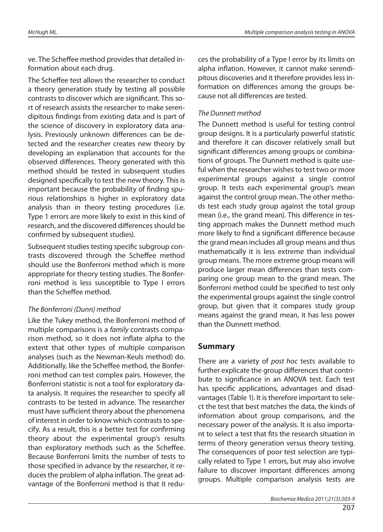ve. The Scheffee method provides that detailed information about each drug.

The Scheffee test allows the researcher to conduct a theory generation study by testing all possible contrasts to discover which are significant. This sort of research assists the researcher to make serendipitous findings from existing data and is part of the science of discovery in exploratory data analysis. Previously unknown differences can be detected and the researcher creates new theory by developing an explanation that accounts for the observed differences. Theory generated with this method should be tested in subsequent studies designed specifically to test the new theory. This is important because the probability of finding spurious relationships is higher in exploratory data analysis than in theory testing procedures (i.e. Type 1 errors are more likely to exist in this kind of research, and the discovered differences should be confirmed by subsequent studies).

Subsequent studies testing specific subgroup contrasts discovered through the Scheffee method should use the Bonferroni method which is more appropriate for theory testing studies. The Bonferroni method is less susceptible to Type I errors than the Scheffee method.

#### The Bonferroni (Dunn) method

Like the Tukey method, the Bonferroni method of multiple comparisons is a *family* contrasts comparison method, so it does not inflate alpha to the extent that other types of multiple comparison analyses (such as the Newman-Keuls method) do. Additionally, like the Scheffee method, the Bonferroni method can test complex pairs. However, the Bonferroni statistic is not a tool for exploratory data analysis. It requires the researcher to specify all contrasts to be tested in advance. The researcher must have sufficient theory about the phenomena of interest in order to know which contrasts to specify. As a result, this is a better test for confirming theory about the experimental group's results than exploratory methods such as the Scheffee. Because Bonferroni limits the number of tests to those specified in advance by the researcher, it reduces the problem of alpha inflation. The great advantage of the Bonferroni method is that it reduces the probability of a Type I error by its limits on alpha inflation. However, it cannot make serendipitous discoveries and it therefore provides less information on differences among the groups because not all differences are tested.

#### The Dunnett method

The Dunnett method is useful for testing control group designs. It is a particularly powerful statistic and therefore it can discover relatively small but significant differences among groups or combinations of groups. The Dunnett method is quite useful when the researcher wishes to test two or more experimental groups against a single control group. It tests each experimental group's mean against the control group mean. The other methods test each study group against the total group mean (i.e., the grand mean). This difference in testing approach makes the Dunnett method much more likely to find a significant difference because the grand mean includes all group means and thus mathematically it is less extreme than individual group means. The more extreme group means will produce larger mean differences than tests comparing one group mean to the grand mean. The Bonferroni method could be specified to test only the experimental groups against the single control group, but given that it compares study group means against the grand mean, it has less power than the Dunnett method.

## **Summary**

There are a variety of post hoc tests available to further explicate the group differences that contribute to significance in an ANOVA test. Each test has specific applications, advantages and disadvantages (Table 1). It is therefore important to select the test that best matches the data, the kinds of information about group comparisons, and the necessary power of the analysis. It is also important to select a test that fits the research situation in terms of theory generation versus theory testing. The consequences of poor test selection are typically related to Type 1 errors, but may also involve failure to discover important differences among groups. Multiple comparison analysis tests are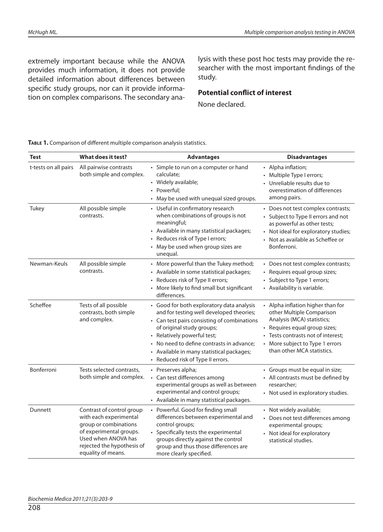extremely important because while the ANOVA provides much information, it does not provide detailed information about differences between specific study groups, nor can it provide information on complex comparisons. The secondary analysis with these post hoc tests may provide the researcher with the most important findings of the study.

#### **Potential conflict of interest**

None declared.

| <b>Test</b>          | What does it test?                                                                                                                                                                 | <b>Advantages</b>                                                                                                                                                                                                                                                                                                               | <b>Disadvantages</b>                                                                                                                                                                                                                 |
|----------------------|------------------------------------------------------------------------------------------------------------------------------------------------------------------------------------|---------------------------------------------------------------------------------------------------------------------------------------------------------------------------------------------------------------------------------------------------------------------------------------------------------------------------------|--------------------------------------------------------------------------------------------------------------------------------------------------------------------------------------------------------------------------------------|
| t-tests on all pairs | All pairwise contrasts<br>both simple and complex.                                                                                                                                 | • Simple to run on a computer or hand<br>calculate;<br>• Widely available;<br>• Powerful;<br>• May be used with unequal sized groups.                                                                                                                                                                                           | • Alpha inflation;<br>• Multiple Type I errors;<br>Unreliable results due to<br>overestimation of differences<br>among pairs.                                                                                                        |
| Tukey                | All possible simple<br>contrasts.                                                                                                                                                  | • Useful in confirmatory research<br>when combinations of groups is not<br>meaningful;<br>• Available in many statistical packages;<br>• Reduces risk of Type I errors;<br>• May be used when group sizes are<br>unequal.                                                                                                       | • Does not test complex contrasts;<br>• Subject to Type II errors and not<br>as powerful as other tests;<br>• Not ideal for exploratory studies;<br>• Not as available as Scheffee or<br>Bonferroni.                                 |
| Newman-Keuls         | All possible simple<br>contrasts.                                                                                                                                                  | • More powerful than the Tukey method;<br>• Available in some statistical packages;<br>• Reduces risk of Type II errors;<br>• More likely to find small but significant<br>differences.                                                                                                                                         | • Does not test complex contrasts;<br>• Requires equal group sizes;<br>• Subject to Type 1 errors;<br>• Availability is variable.                                                                                                    |
| Scheffee             | Tests of all possible<br>contrasts, both simple<br>and complex.                                                                                                                    | • Good for both exploratory data analysis<br>and for testing well developed theories;<br>• Can test pairs consisting of combinations<br>of original study groups;<br>• Relatively powerful test;<br>• No need to define contrasts in advance;<br>• Available in many statistical packages;<br>• Reduced risk of Type II errors. | • Alpha inflation higher than for<br>other Multiple Comparison<br>Analysis (MCA) statistics;<br>• Requires equal group sizes;<br>• Tests contrasts not of interest;<br>• More subject to Type 1 errors<br>than other MCA statistics. |
| Bonferroni           | Tests selected contrasts,<br>both simple and complex.                                                                                                                              | • Preserves alpha;<br>• Can test differences among<br>experimental groups as well as between<br>experimental and control groups;<br>• Available in many statistical packages.                                                                                                                                                   | • Groups must be equal in size;<br>• All contrasts must be defined by<br>researcher;<br>• Not used in exploratory studies.                                                                                                           |
| Dunnett              | Contrast of control group<br>with each experimental<br>group or combinations<br>of experimental groups.<br>Used when ANOVA has<br>rejected the hypothesis of<br>equality of means. | • Powerful. Good for finding small<br>differences between experimental and<br>control groups;<br>• Specifically tests the experimental<br>groups directly against the control<br>group and thus those differences are<br>more clearly specified.                                                                                | • Not widely available;<br>• Does not test differences among<br>experimental groups;<br>• Not ideal for exploratory<br>statistical studies.                                                                                          |

TABLE 1. Comparison of different multiple comparison analysis statistics.